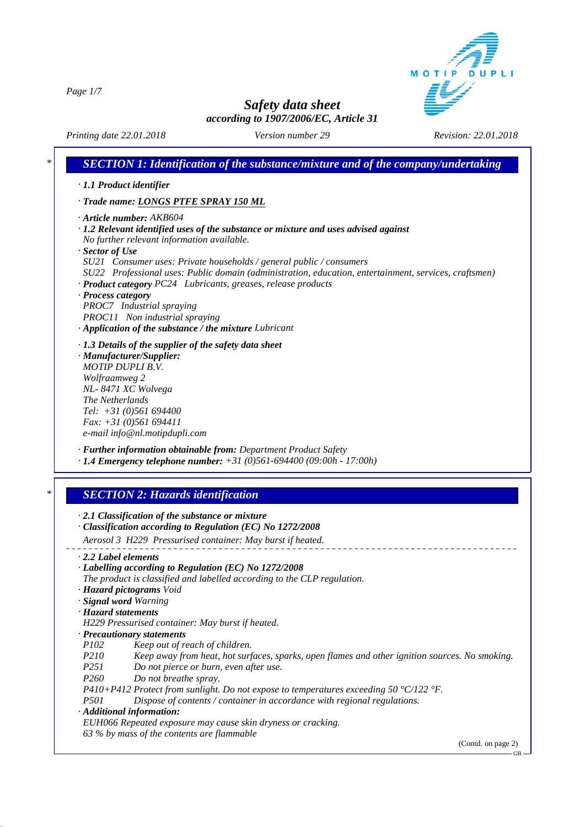MOTIP DUPLI

*Page 1/7*

*Safety data sheet according to 1907/2006/EC, Article 31*

*Printing date 22.01.2018 Revision: 22.01.2018 Version number 29*

٦

|                                         | · 1.1 Product identifier                                                                                                                          |
|-----------------------------------------|---------------------------------------------------------------------------------------------------------------------------------------------------|
|                                         | · Trade name: LONGS PTFE SPRAY 150 ML                                                                                                             |
|                                         |                                                                                                                                                   |
|                                         | · Article number: AKB604<br>$\cdot$ 1.2 Relevant identified uses of the substance or mixture and uses advised against                             |
|                                         | No further relevant information available.                                                                                                        |
| $\cdot$ Sector of Use                   |                                                                                                                                                   |
|                                         | SU21 Consumer uses: Private households / general public / consumers                                                                               |
|                                         | SU22 Professional uses: Public domain (administration, education, entertainment, services, craftsmen)                                             |
|                                         | · Product category PC24 Lubricants, greases, release products                                                                                     |
| · Process category                      |                                                                                                                                                   |
|                                         | PROC7 Industrial spraying                                                                                                                         |
|                                         | PROC11 Non industrial spraying                                                                                                                    |
|                                         | · Application of the substance / the mixture Lubricant                                                                                            |
|                                         |                                                                                                                                                   |
|                                         | $\cdot$ 1.3 Details of the supplier of the safety data sheet<br>· Manufacturer/Supplier:                                                          |
|                                         | <b>MOTIP DUPLI B.V.</b>                                                                                                                           |
| Wolfraamweg 2                           |                                                                                                                                                   |
|                                         | NL-8471 XC Wolvega                                                                                                                                |
| The Netherlands                         |                                                                                                                                                   |
|                                         | Tel: $+31(0)561694400$                                                                                                                            |
|                                         | Fax: $+31$ (0)561 694411                                                                                                                          |
|                                         | e-mail info@nl.motipdupli.com                                                                                                                     |
|                                         |                                                                                                                                                   |
|                                         |                                                                                                                                                   |
|                                         | · Further information obtainable from: Department Product Safety<br>$\cdot$ 1.4 Emergency telephone number: $+31$ (0)561-694400 (09:00h - 17:00h) |
|                                         | <b>SECTION 2: Hazards identification</b>                                                                                                          |
|                                         |                                                                                                                                                   |
|                                         | $\cdot$ 2.1 Classification of the substance or mixture                                                                                            |
|                                         | · Classification according to Regulation (EC) No 1272/2008                                                                                        |
|                                         | Aerosol 3 H229 Pressurised container: May burst if heated.                                                                                        |
|                                         |                                                                                                                                                   |
|                                         | · Labelling according to Regulation (EC) No 1272/2008                                                                                             |
| $\cdot$ 2.2 Label elements              | The product is classified and labelled according to the CLP regulation.                                                                           |
|                                         | · Hazard pictograms Void                                                                                                                          |
|                                         | · Signal word Warning                                                                                                                             |
|                                         |                                                                                                                                                   |
|                                         | H229 Pressurised container: May burst if heated.                                                                                                  |
|                                         | · Precautionary statements                                                                                                                        |
| <i>P102</i>                             | Keep out of reach of children.                                                                                                                    |
| P210                                    | Keep away from heat, hot surfaces, sparks, open flames and other ignition sources. No smoking.                                                    |
| P <sub>251</sub>                        | Do not pierce or burn, even after use.                                                                                                            |
| P <sub>260</sub>                        | Do not breathe spray.                                                                                                                             |
|                                         | P410+P412 Protect from sunlight. Do not expose to temperatures exceeding 50 °C/122 °F.                                                            |
| · Hazard statements<br>P <sub>501</sub> | Dispose of contents / container in accordance with regional regulations.                                                                          |
|                                         | · Additional information:                                                                                                                         |
|                                         | EUH066 Repeated exposure may cause skin dryness or cracking.                                                                                      |
|                                         | 63 % by mass of the contents are flammable<br>(Contd. on page 2)                                                                                  |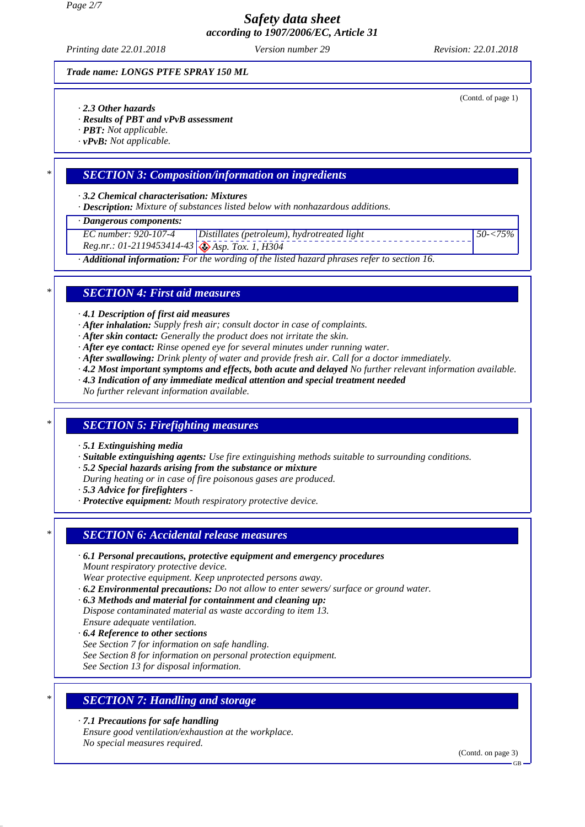*Page 2/7*

*Safety data sheet according to 1907/2006/EC, Article 31*

*Printing date 22.01.2018 Revision: 22.01.2018 Version number 29*

*Trade name: LONGS PTFE SPRAY 150 ML*

- *· 2.3 Other hazards*
- *· Results of PBT and vPvB assessment*
- *· PBT: Not applicable.*
- *· vPvB: Not applicable.*

### *\* SECTION 3: Composition/information on ingredients*

*· 3.2 Chemical characterisation: Mixtures*

*· Description: Mixture of substances listed below with nonhazardous additions.*

*· Dangerous components:*

- *EC number: 920-107-4 Distillates (petroleum), hydrotreated light*
- *Reg.nr.: 01-2119453414-43 Asp. Tox. 1, H304*
- *· Additional information: For the wording of the listed hazard phrases refer to section 16.*

### *\* SECTION 4: First aid measures*

*· 4.1 Description of first aid measures*

- *· After inhalation: Supply fresh air; consult doctor in case of complaints.*
- *· After skin contact: Generally the product does not irritate the skin.*
- *· After eye contact: Rinse opened eye for several minutes under running water.*
- *· After swallowing: Drink plenty of water and provide fresh air. Call for a doctor immediately.*
- *· 4.2 Most important symptoms and effects, both acute and delayed No further relevant information available.*
- *· 4.3 Indication of any immediate medical attention and special treatment needed*

*No further relevant information available.*

# *\* SECTION 5: Firefighting measures*

- *· 5.1 Extinguishing media*
- *· Suitable extinguishing agents: Use fire extinguishing methods suitable to surrounding conditions.*
- *· 5.2 Special hazards arising from the substance or mixture*
- *During heating or in case of fire poisonous gases are produced.*
- *· 5.3 Advice for firefighters*
- *· Protective equipment: Mouth respiratory protective device.*

# *\* SECTION 6: Accidental release measures*

*· 6.1 Personal precautions, protective equipment and emergency procedures*

*Mount respiratory protective device.*

*Wear protective equipment. Keep unprotected persons away.*

- *· 6.2 Environmental precautions: Do not allow to enter sewers/ surface or ground water.*
- *· 6.3 Methods and material for containment and cleaning up: Dispose contaminated material as waste according to item 13. Ensure adequate ventilation.*
- *· 6.4 Reference to other sections*
- *See Section 7 for information on safe handling.*
- *See Section 8 for information on personal protection equipment.*

*See Section 13 for disposal information.*

# *\* SECTION 7: Handling and storage*

*· 7.1 Precautions for safe handling Ensure good ventilation/exhaustion at the workplace. No special measures required.*

(Contd. on page 3)

(Contd. of page 1)

*50-<75%*

GB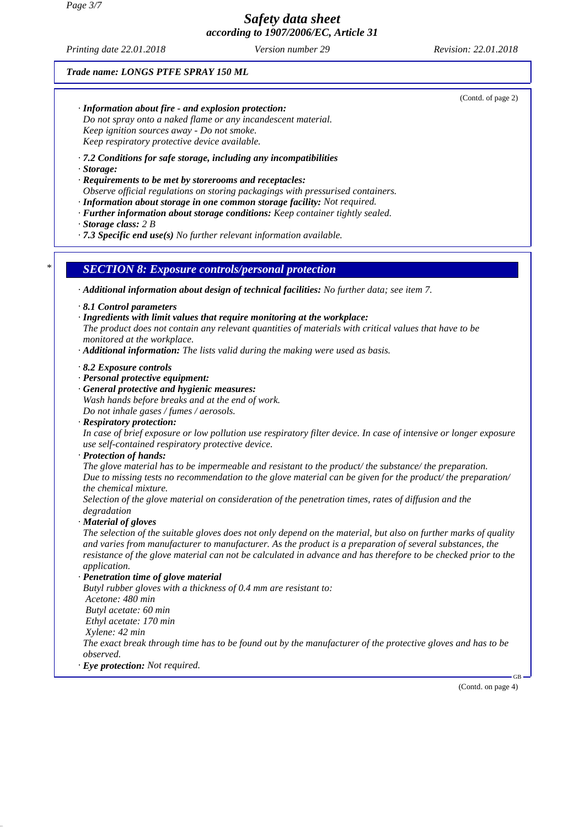*Printing date 22.01.2018 Revision: 22.01.2018 Version number 29*

*Trade name: LONGS PTFE SPRAY 150 ML*

(Contd. of page 2) *· Information about fire - and explosion protection: Do not spray onto a naked flame or any incandescent material. Keep ignition sources away - Do not smoke. Keep respiratory protective device available. · 7.2 Conditions for safe storage, including any incompatibilities · Storage: · Requirements to be met by storerooms and receptacles: Observe official regulations on storing packagings with pressurised containers. · Information about storage in one common storage facility: Not required. · Further information about storage conditions: Keep container tightly sealed. · Storage class: 2 B · 7.3 Specific end use(s) No further relevant information available. \* SECTION 8: Exposure controls/personal protection · Additional information about design of technical facilities: No further data; see item 7. · 8.1 Control parameters · Ingredients with limit values that require monitoring at the workplace: The product does not contain any relevant quantities of materials with critical values that have to be monitored at the workplace. · Additional information: The lists valid during the making were used as basis. · 8.2 Exposure controls · Personal protective equipment: · General protective and hygienic measures: Wash hands before breaks and at the end of work. Do not inhale gases / fumes / aerosols. · Respiratory protection: In case of brief exposure or low pollution use respiratory filter device. In case of intensive or longer exposure use self-contained respiratory protective device. · Protection of hands: The glove material has to be impermeable and resistant to the product/ the substance/ the preparation. Due to missing tests no recommendation to the glove material can be given for the product/ the preparation/ the chemical mixture. Selection of the glove material on consideration of the penetration times, rates of diffusion and the degradation · Material of gloves The selection of the suitable gloves does not only depend on the material, but also on further marks of quality and varies from manufacturer to manufacturer. As the product is a preparation of several substances, the resistance of the glove material can not be calculated in advance and has therefore to be checked prior to the application. · Penetration time of glove material Butyl rubber gloves with a thickness of 0.4 mm are resistant to: Acetone: 480 min Butyl acetate: 60 min Ethyl acetate: 170 min Xylene: 42 min The exact break through time has to be found out by the manufacturer of the protective gloves and has to be observed. · Eye protection: Not required.*

(Contd. on page 4)

GB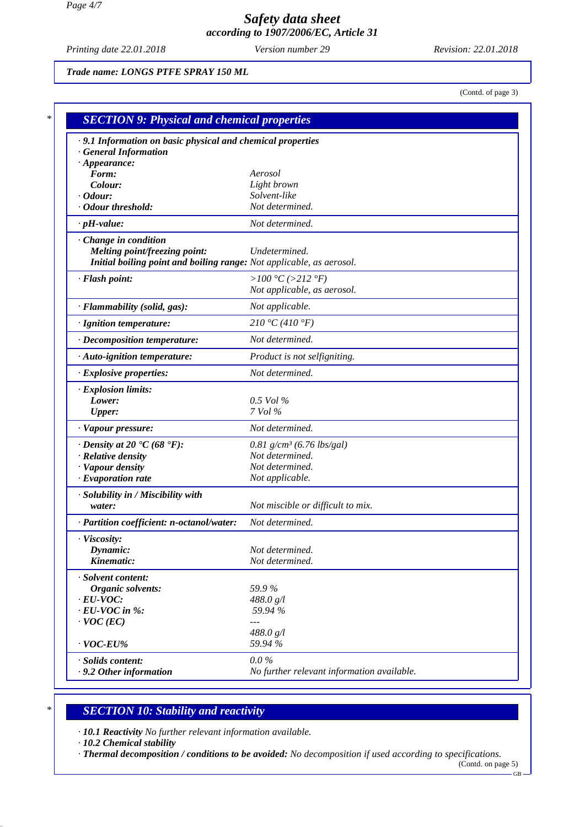*Printing date 22.01.2018 Revision: 22.01.2018 Version number 29*

*Trade name: LONGS PTFE SPRAY 150 ML*

(Contd. of page 3)

| · 9.1 Information on basic physical and chemical properties          |                                            |
|----------------------------------------------------------------------|--------------------------------------------|
| <b>General Information</b><br>$\cdot$ Appearance:                    |                                            |
| Form:                                                                | Aerosol                                    |
| Colour:                                                              | Light brown                                |
| $\cdot$ Odour:                                                       | Solvent-like                               |
| · Odour threshold:                                                   | Not determined.                            |
| $\cdot$ pH-value:                                                    | Not determined.                            |
| Change in condition                                                  |                                            |
| Melting point/freezing point:                                        | Undetermined.                              |
| Initial boiling point and boiling range: Not applicable, as aerosol. |                                            |
| · Flash point:                                                       | > $100 °C$ (>212 °F)                       |
|                                                                      | Not applicable, as aerosol.                |
| · Flammability (solid, gas):                                         | Not applicable.                            |
| · Ignition temperature:                                              | 210 °C (410 °F)                            |
| · Decomposition temperature:                                         | Not determined.                            |
| · Auto-ignition temperature:                                         | Product is not selfigniting.               |
| · Explosive properties:                                              | Not determined.                            |
| · Explosion limits:                                                  |                                            |
| Lower:                                                               | $0.5$ Vol %                                |
| <b>Upper:</b>                                                        | 7 Vol %                                    |
| · Vapour pressure:                                                   | Not determined.                            |
| $\cdot$ Density at 20 $\textdegree$ C (68 $\textdegree$ F):          | $0.81$ g/cm <sup>3</sup> (6.76 lbs/gal)    |
| · Relative density                                                   | Not determined.                            |
| · Vapour density                                                     | Not determined.                            |
| $\cdot$ Evaporation rate                                             | Not applicable.                            |
| · Solubility in / Miscibility with                                   |                                            |
| water:                                                               | Not miscible or difficult to mix.          |
| · Partition coefficient: n-octanol/water:                            | Not determined.                            |
| · Viscosity:                                                         |                                            |
| Dynamic:                                                             | Not determined.                            |
| Kinematic:                                                           | Not determined.                            |
| · Solvent content:                                                   |                                            |
| Organic solvents:                                                    | 59.9%                                      |
| $\cdot$ EU-VOC:                                                      | 488.0 g/l                                  |
| $\cdot$ EU-VOC in %:                                                 | 59.94 %                                    |
| $\cdot$ VOC (EC)                                                     | $---$                                      |
| $\cdot$ VOC-EU%                                                      | 488.0 g/l<br>59.94 %                       |
| · Solids content:                                                    | $0.0\%$                                    |
| .9.2 Other information                                               | No further relevant information available. |

# *\* SECTION 10: Stability and reactivity*

*· 10.1 Reactivity No further relevant information available.*

*· 10.2 Chemical stability*

*· Thermal decomposition / conditions to be avoided: No decomposition if used according to specifications.* (Contd. on page 5)

 $-GB -$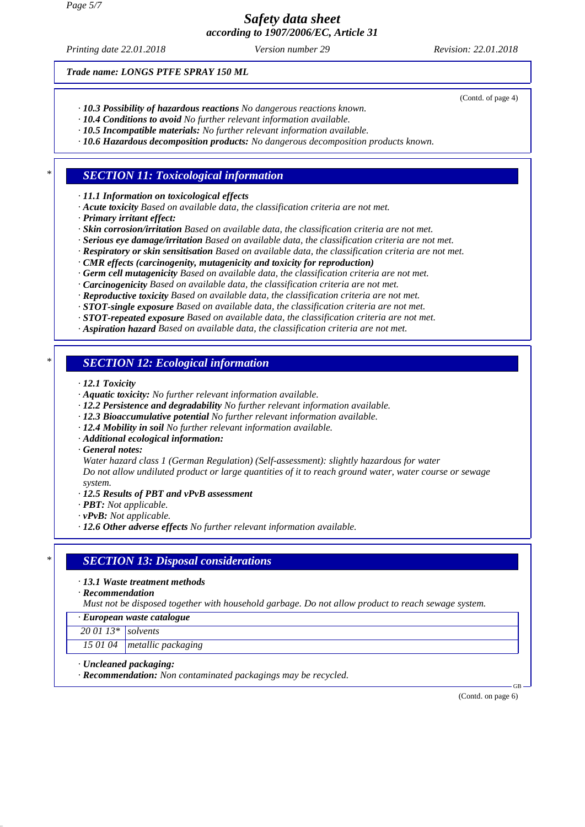*Printing date 22.01.2018 Revision: 22.01.2018 Version number 29*

(Contd. of page 4)

*Trade name: LONGS PTFE SPRAY 150 ML*

- *· 10.3 Possibility of hazardous reactions No dangerous reactions known.*
- *· 10.4 Conditions to avoid No further relevant information available.*
- *· 10.5 Incompatible materials: No further relevant information available.*
- *· 10.6 Hazardous decomposition products: No dangerous decomposition products known.*

#### *\* SECTION 11: Toxicological information*

*· 11.1 Information on toxicological effects*

- *· Acute toxicity Based on available data, the classification criteria are not met.*
- *· Primary irritant effect:*
- *· Skin corrosion/irritation Based on available data, the classification criteria are not met.*
- *· Serious eye damage/irritation Based on available data, the classification criteria are not met.*
- *· Respiratory or skin sensitisation Based on available data, the classification criteria are not met.*
- *· CMR effects (carcinogenity, mutagenicity and toxicity for reproduction)*
- *· Germ cell mutagenicity Based on available data, the classification criteria are not met.*
- *· Carcinogenicity Based on available data, the classification criteria are not met.*
- *· Reproductive toxicity Based on available data, the classification criteria are not met.*
- *· STOT-single exposure Based on available data, the classification criteria are not met.*
- *· STOT-repeated exposure Based on available data, the classification criteria are not met.*
- *· Aspiration hazard Based on available data, the classification criteria are not met.*

# *\* SECTION 12: Ecological information*

- *· 12.1 Toxicity*
- *· Aquatic toxicity: No further relevant information available.*
- *· 12.2 Persistence and degradability No further relevant information available.*
- *· 12.3 Bioaccumulative potential No further relevant information available.*
- *· 12.4 Mobility in soil No further relevant information available.*
- *· Additional ecological information:*
- *· General notes:*

*Water hazard class 1 (German Regulation) (Self-assessment): slightly hazardous for water Do not allow undiluted product or large quantities of it to reach ground water, water course or sewage system.*

- *· 12.5 Results of PBT and vPvB assessment*
- *· PBT: Not applicable.*
- *· vPvB: Not applicable.*
- *· 12.6 Other adverse effects No further relevant information available.*

#### *\* SECTION 13: Disposal considerations*

*· 13.1 Waste treatment methods*

*· Recommendation*

*Must not be disposed together with household garbage. Do not allow product to reach sewage system.*

*· European waste catalogue*

*20 01 13\* solvents*

*15 01 04 metallic packaging*

- *· Uncleaned packaging:*
- *· Recommendation: Non contaminated packagings may be recycled.*

(Contd. on page 6)

GB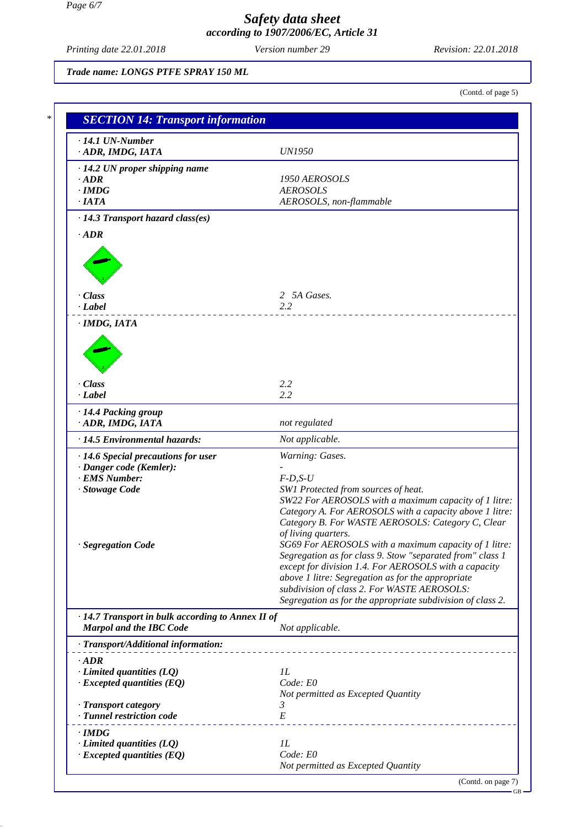*Printing date 22.01.2018 Revision: 22.01.2018 Version number 29*

*Trade name: LONGS PTFE SPRAY 150 ML*

(Contd. of page 5)

| $\cdot$ 14.1 UN-Number                                              |                                                                                                                    |
|---------------------------------------------------------------------|--------------------------------------------------------------------------------------------------------------------|
| · ADR, IMDG, IATA                                                   | <b>UN1950</b>                                                                                                      |
| $\cdot$ 14.2 UN proper shipping name                                |                                                                                                                    |
| $\cdot$ ADR                                                         | 1950 AEROSOLS                                                                                                      |
| $\cdot$ IMDG                                                        | <b>AEROSOLS</b>                                                                                                    |
| $\cdot$ IATA                                                        | AEROSOLS, non-flammable                                                                                            |
| $\cdot$ 14.3 Transport hazard class(es)                             |                                                                                                                    |
| $\cdot$ ADR                                                         |                                                                                                                    |
|                                                                     |                                                                                                                    |
|                                                                     |                                                                                                                    |
|                                                                     |                                                                                                                    |
| · Class                                                             | 2 5A Gases.                                                                                                        |
| $\cdot$ <i>Label</i>                                                | 2.2                                                                                                                |
| · IMDG, IATA                                                        |                                                                                                                    |
|                                                                     |                                                                                                                    |
|                                                                     |                                                                                                                    |
|                                                                     |                                                                                                                    |
|                                                                     |                                                                                                                    |
| · Class                                                             | 2.2                                                                                                                |
| $\cdot$ Label                                                       | 2.2                                                                                                                |
| · 14.4 Packing group                                                |                                                                                                                    |
| · ADR, IMDG, IATA                                                   | not regulated                                                                                                      |
| · 14.5 Environmental hazards:                                       | Not applicable.                                                                                                    |
| $\cdot$ 14.6 Special precautions for user                           | Warning: Gases.                                                                                                    |
| · Danger code (Kemler):                                             |                                                                                                                    |
| · EMS Number:<br>· Stowage Code                                     | $F-D,S-U$<br>SW1 Protected from sources of heat.                                                                   |
|                                                                     | SW22 For AEROSOLS with a maximum capacity of 1 litre:                                                              |
|                                                                     | Category A. For AEROSOLS with a capacity above 1 litre:                                                            |
|                                                                     | Category B. For WASTE AEROSOLS: Category C, Clear                                                                  |
|                                                                     | of living quarters.                                                                                                |
| · Segregation Code                                                  | SG69 For AEROSOLS with a maximum capacity of 1 litre:                                                              |
|                                                                     | Segregation as for class 9. Stow "separated from" class 1<br>except for division 1.4. For AEROSOLS with a capacity |
|                                                                     | above 1 litre: Segregation as for the appropriate                                                                  |
|                                                                     | subdivision of class 2. For WASTE AEROSOLS:                                                                        |
|                                                                     | Segregation as for the appropriate subdivision of class 2.                                                         |
| · 14.7 Transport in bulk according to Annex II of                   |                                                                                                                    |
| Marpol and the IBC Code                                             | Not applicable.                                                                                                    |
| · Transport/Additional information:                                 |                                                                                                                    |
| $\cdot$ ADR                                                         |                                                                                                                    |
| $\cdot$ Limited quantities (LQ)                                     | 1L                                                                                                                 |
| $\cdot$ Excepted quantities (EQ)                                    | Code: E0                                                                                                           |
|                                                                     | Not permitted as Excepted Quantity                                                                                 |
| · Transport category                                                | 3                                                                                                                  |
| · Tunnel restriction code                                           | $E\,$                                                                                                              |
| · IMDG                                                              |                                                                                                                    |
| $\cdot$ Limited quantities (LQ)<br>$\cdot$ Excepted quantities (EQ) | 1L<br>Code: E0                                                                                                     |
|                                                                     | Not permitted as Excepted Quantity                                                                                 |